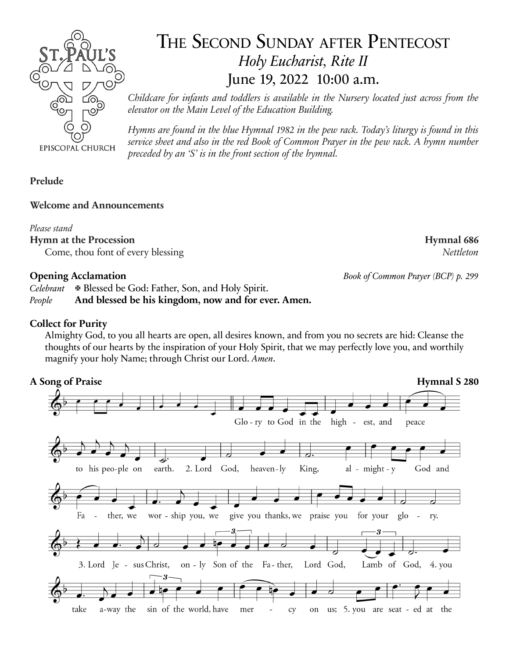

# THE SECOND SUNDAY AFTER PENTECOST *Holy Eucharist, Rite II* June 19, 2022 10:00 a.m.

*Childcare for infants and toddlers is available in the Nursery located just across from the elevator on the Main Level of the Education Building.*

*Hymns are found in the blue Hymnal 1982 in the pew rack. Today's liturgy is found in this service sheet and also in the red Book of Common Prayer in the pew rack. A hymn number preceded by an 'S' is in the front section of the hymnal.*

### **Prelude**

#### **Welcome and Announcements**

#### *Please stand*

**Hymn at the Procession Hymnal 686**

Come, thou font of every blessing *Nettleton*

*Celebrant* Blessed be God: Father, Son, and Holy Spirit.

*People* **And blessed be his kingdom, now and for ever. Amen.**

### **Collect for Purity**

Almighty God, to you all hearts are open, all desires known, and from you no secrets are hid: Cleanse the thoughts of our hearts by the inspiration of your Holy Spirit, that we may perfectly love you, and worthily magnify your holy Name; through Christ our Lord. *Amen*.



**Opening Acclamation** *Book of Common Prayer (BCP) p. 299*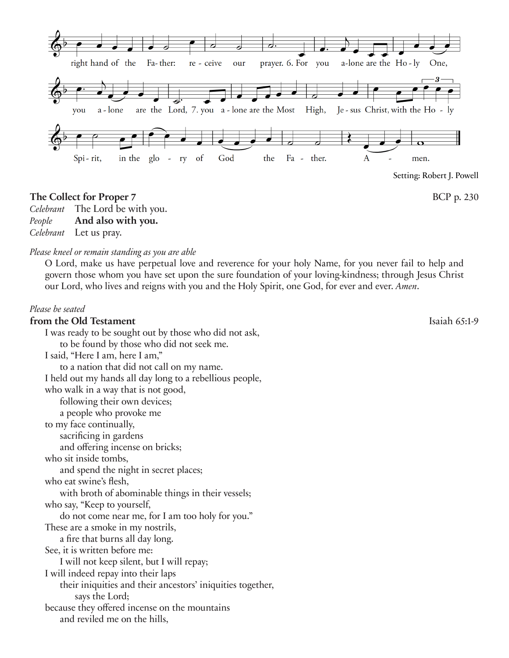

#### **The Collect for Proper 7** BCP p. 230

*Celebrant* The Lord be with you.

*People* **And also with you.**

*Celebrant* Let us pray.

#### *Please kneel or remain standing as you are able*

O Lord, make us have perpetual love and reverence for your holy Name, for you never fail to help and govern those whom you have set upon the sure foundation of your loving-kindness; through Jesus Christ our Lord, who lives and reigns with you and the Holy Spirit, one God, for ever and ever. *Amen*.

#### *Please be seated*

## **from the Old Testament** Islands and Islands and Islands of Isaiah 65:1-9

I was ready to be sought out by those who did not ask, to be found by those who did not seek me. I said, "Here I am, here I am," to a nation that did not call on my name. I held out my hands all day long to a rebellious people, who walk in a way that is not good, following their own devices; a people who provoke me to my face continually, sacrificing in gardens and offering incense on bricks; who sit inside tombs, and spend the night in secret places; who eat swine's flesh, with broth of abominable things in their vessels; who say, "Keep to yourself, do not come near me, for I am too holy for you." These are a smoke in my nostrils, a fire that burns all day long. See, it is written before me: I will not keep silent, but I will repay; I will indeed repay into their laps their iniquities and their ancestors' iniquities together, says the Lord; because they offered incense on the mountains and reviled me on the hills,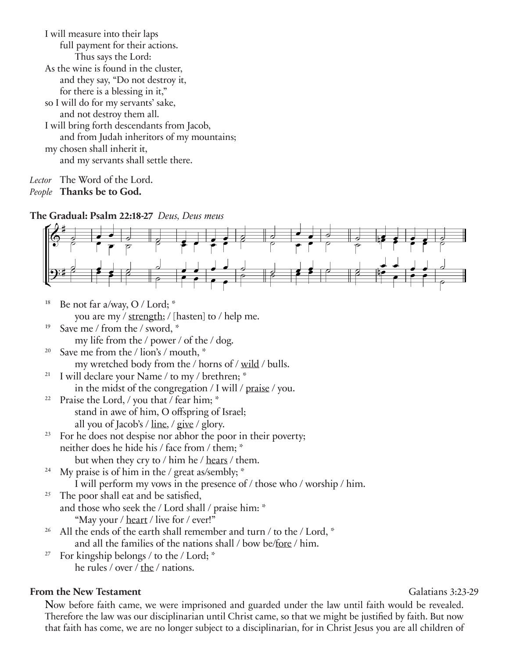| I will measure into their laps             |
|--------------------------------------------|
| full payment for their actions.            |
| Thus says the Lord:                        |
| As the wine is found in the cluster,       |
| and they say, "Do not destroy it,          |
| for there is a blessing in it,"            |
| so I will do for my servants' sake,        |
| and not destroy them all.                  |
| I will bring forth descendants from Jacob, |
| and from Judah inheritors of my mountains; |
| my chosen shall inherit it,                |
| and my servants shall settle there.        |
|                                            |

*Lector* The Word of the Lord.

*People* **Thanks be to God.**

**The Gradual: Psalm 22:18-27** *Deus, Deus meus*



- <sup>18</sup> Be not far a/way, O / Lord;  $*$ you are my / strength; / [hasten] to / help me.
- <sup>19</sup> Save me / from the / sword,  $*$ my life from the / power / of the / dog.
- <sup>20</sup> Save me from the / lion's / mouth,  $*$ my wretched body from the / horns of / wild / bulls.
- <sup>21</sup> I will declare your Name / to my / brethren;  $*$ in the midst of the congregation / I will / praise / you.
- <sup>22</sup> Praise the Lord,  $\frac{1}{2}$  you that  $\frac{1}{2}$  fear him;  $\frac{1}{2}$  stand in awe of him, O offspring of Israel; all you of Jacob's / line, / give / glory.
- $23$  For he does not despise nor abhor the poor in their poverty; neither does he hide his / face from / them; \* but when they cry to / him he / hears / them.
- <sup>24</sup> My praise is of him in the / great as/sembly;  $*$ I will perform my vows in the presence of / those who / worship / him.
- $25$  The poor shall eat and be satisfied, and those who seek the / Lord shall / praise him: \* "May your / heart / live for / ever!"
- <sup>26</sup> All the ends of the earth shall remember and turn / to the / Lord,  $*$ and all the families of the nations shall / bow be/fore / him.
- <sup>27</sup> For kingship belongs / to the / Lord;  $*$ he rules / over / the / nations.

### **From the New Testament** Galatians 3:23-29

Now before faith came, we were imprisoned and guarded under the law until faith would be revealed. Therefore the law was our disciplinarian until Christ came, so that we might be justified by faith. But now that faith has come, we are no longer subject to a disciplinarian, for in Christ Jesus you are all children of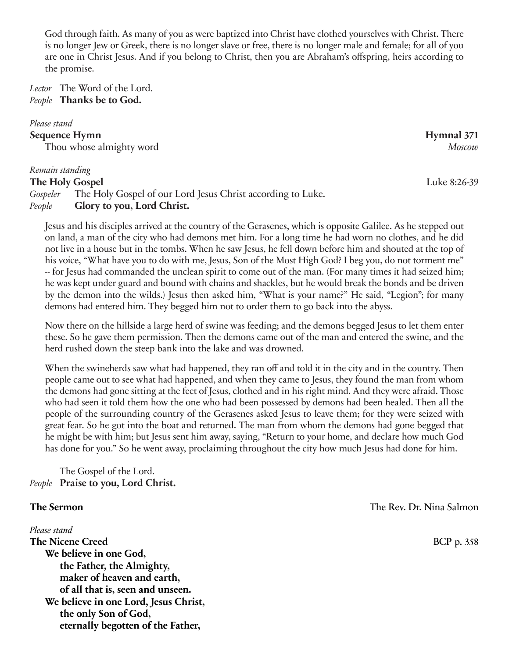God through faith. As many of you as were baptized into Christ have clothed yourselves with Christ. There is no longer Jew or Greek, there is no longer slave or free, there is no longer male and female; for all of you are one in Christ Jesus. And if you belong to Christ, then you are Abraham's offspring, heirs according to the promise.

*Lector* The Word of the Lord. *People* **Thanks be to God.**

#### *Please stand*

**Sequence Hymn** Hymnal 371 Thou whose almighty word *Moscow*

#### *Remain standing*

#### **The Holy Gospel Luke 8:26-39**

*Gospeler* The Holy Gospel of our Lord Jesus Christ according to Luke. *People* **Glory to you, Lord Christ.**

Jesus and his disciples arrived at the country of the Gerasenes, which is opposite Galilee. As he stepped out on land, a man of the city who had demons met him. For a long time he had worn no clothes, and he did not live in a house but in the tombs. When he saw Jesus, he fell down before him and shouted at the top of his voice, "What have you to do with me, Jesus, Son of the Most High God? I beg you, do not torment me" -- for Jesus had commanded the unclean spirit to come out of the man. (For many times it had seized him; he was kept under guard and bound with chains and shackles, but he would break the bonds and be driven by the demon into the wilds.) Jesus then asked him, "What is your name?" He said, "Legion"; for many demons had entered him. They begged him not to order them to go back into the abyss.

Now there on the hillside a large herd of swine was feeding; and the demons begged Jesus to let them enter these. So he gave them permission. Then the demons came out of the man and entered the swine, and the herd rushed down the steep bank into the lake and was drowned.

When the swineherds saw what had happened, they ran off and told it in the city and in the country. Then people came out to see what had happened, and when they came to Jesus, they found the man from whom the demons had gone sitting at the feet of Jesus, clothed and in his right mind. And they were afraid. Those who had seen it told them how the one who had been possessed by demons had been healed. Then all the people of the surrounding country of the Gerasenes asked Jesus to leave them; for they were seized with great fear. So he got into the boat and returned. The man from whom the demons had gone begged that he might be with him; but Jesus sent him away, saying, "Return to your home, and declare how much God has done for you." So he went away, proclaiming throughout the city how much Jesus had done for him.

The Gospel of the Lord. *People* **Praise to you, Lord Christ.**

*Please stand*  **The Nicene Creed** BCP p. 358 **We believe in one God, the Father, the Almighty, maker of heaven and earth, of all that is, seen and unseen. We believe in one Lord, Jesus Christ, the only Son of God, eternally begotten of the Father,**

**The Sermon** The Rev. Dr. Nina Salmon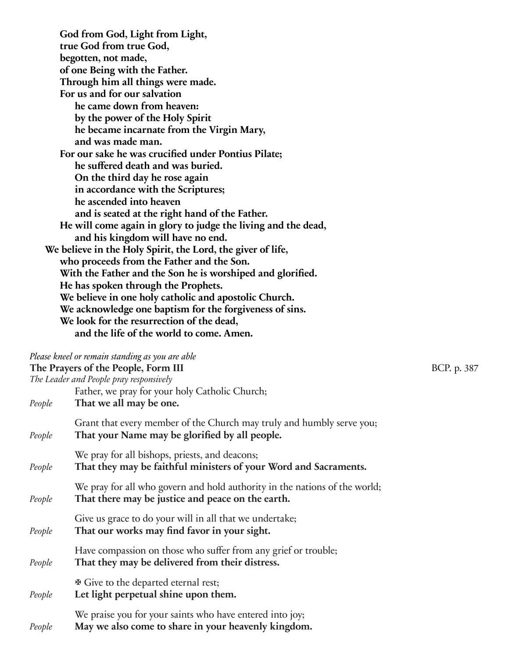**God from God, Light from Light, true God from true God, begotten, not made, of one Being with the Father. Through him all things were made. For us and for our salvation he came down from heaven: by the power of the Holy Spirit he became incarnate from the Virgin Mary, and was made man. For our sake he was crucified under Pontius Pilate; he suffered death and was buried. On the third day he rose again in accordance with the Scriptures; he ascended into heaven and is seated at the right hand of the Father. He will come again in glory to judge the living and the dead, and his kingdom will have no end. We believe in the Holy Spirit, the Lord, the giver of life, who proceeds from the Father and the Son. With the Father and the Son he is worshiped and glorified. He has spoken through the Prophets. We believe in one holy catholic and apostolic Church. We acknowledge one baptism for the forgiveness of sins. We look for the resurrection of the dead, and the life of the world to come. Amen.**

#### *Please kneel or remain standing as you are able*

**The Prayers of the People, Form III** BCP. p. 387

*The Leader and People pray responsively*

| People | That we all may be one.                                                                                                         |
|--------|---------------------------------------------------------------------------------------------------------------------------------|
| People | Grant that every member of the Church may truly and humbly serve you;<br>That your Name may be glorified by all people.         |
| People | We pray for all bishops, priests, and deacons;<br>That they may be faithful ministers of your Word and Sacraments.              |
| People | We pray for all who govern and hold authority in the nations of the world;<br>That there may be justice and peace on the earth. |
| People | Give us grace to do your will in all that we undertake;<br>That our works may find favor in your sight.                         |
| People | Have compassion on those who suffer from any grief or trouble;<br>That they may be delivered from their distress.               |
| People | <b><math>\Phi</math></b> Give to the departed eternal rest;<br>Let light perpetual shine upon them.                             |
| People | We praise you for your saints who have entered into joy;<br>May we also come to share in your heavenly kingdom.                 |

Father, we pray for your holy Catholic Church;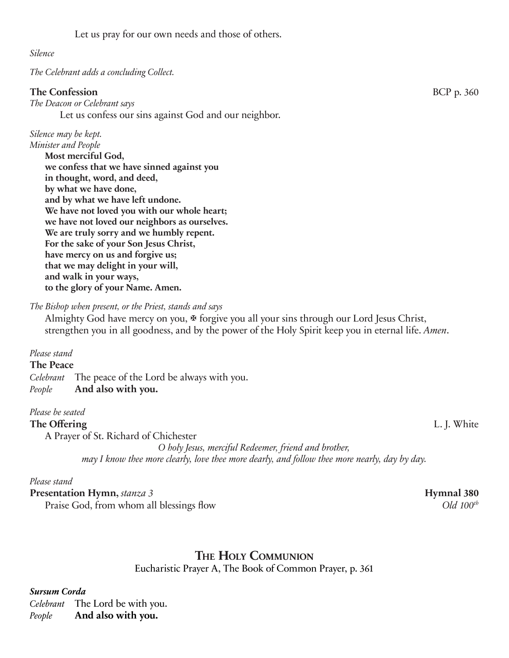#### *Silence*

*The Celebrant adds a concluding Collect.*

#### **The Confession BCP** p. 360

*The Deacon or Celebrant says* Let us confess our sins against God and our neighbor.

#### *Silence may be kept.*

*Minister and People* **Most merciful God, we confess that we have sinned against you in thought, word, and deed, by what we have done, and by what we have left undone. We have not loved you with our whole heart; we have not loved our neighbors as ourselves. We are truly sorry and we humbly repent. For the sake of your Son Jesus Christ, have mercy on us and forgive us; that we may delight in your will, and walk in your ways, to the glory of your Name. Amen.**

*The Bishop when present, or the Priest, stands and says*

Almighty God have mercy on you,  $\mathcal F$  forgive you all your sins through our Lord Jesus Christ, strengthen you in all goodness, and by the power of the Holy Spirit keep you in eternal life. *Amen*.

#### *Please stand*

#### **The Peace**

*Celebrant* The peace of the Lord be always with you. *People* **And also with you.**

#### *Please be seated*

#### **The Offering** L. J. White

A Prayer of St. Richard of Chichester *O holy Jesus, merciful Redeemer, friend and brother, may I know thee more clearly, love thee more dearly, and follow thee more nearly, day by day.*

#### *Please stand*

**Presentation Hymn,** *stanza 3* **Hymnal 380** Praise God, from whom all blessings flow *Old 100<sup>th</sup>* 

## **The Holy Communion**

Eucharistic Prayer A, The Book of Common Prayer, p. 361

*Sursum Corda*

*Celebrant* The Lord be with you. *People* **And also with you.**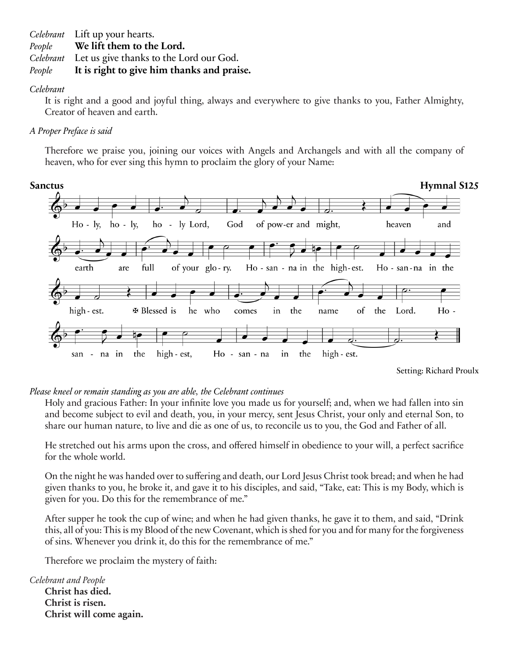*Celebrant* Lift up your hearts.

*People* **We lift them to the Lord.**

*Celebrant* Let us give thanks to the Lord our God.

*People* **It is right to give him thanks and praise.**

#### *Celebrant*

It is right and a good and joyful thing, always and everywhere to give thanks to you, Father Almighty, Creator of heaven and earth.

#### *A Proper Preface is said*

Therefore we praise you, joining our voices with Angels and Archangels and with all the company of heaven, who for ever sing this hymn to proclaim the glory of your Name:



Setting: Richard Proulx

#### *Please kneel or remain standing as you are able, the Celebrant continues*

Holy and gracious Father: In your infinite love you made us for yourself; and, when we had fallen into sin and become subject to evil and death, you, in your mercy, sent Jesus Christ, your only and eternal Son, to share our human nature, to live and die as one of us, to reconcile us to you, the God and Father of all.

He stretched out his arms upon the cross, and offered himself in obedience to your will, a perfect sacrifice for the whole world.

On the night he was handed over to suffering and death, our Lord Jesus Christ took bread; and when he had given thanks to you, he broke it, and gave it to his disciples, and said, "Take, eat: This is my Body, which is given for you. Do this for the remembrance of me."

After supper he took the cup of wine; and when he had given thanks, he gave it to them, and said, "Drink this, all of you: This is my Blood of the new Covenant, which is shed for you and for many for the forgiveness of sins. Whenever you drink it, do this for the remembrance of me."

Therefore we proclaim the mystery of faith:

*Celebrant and People*

**Christ has died. Christ is risen. Christ will come again.**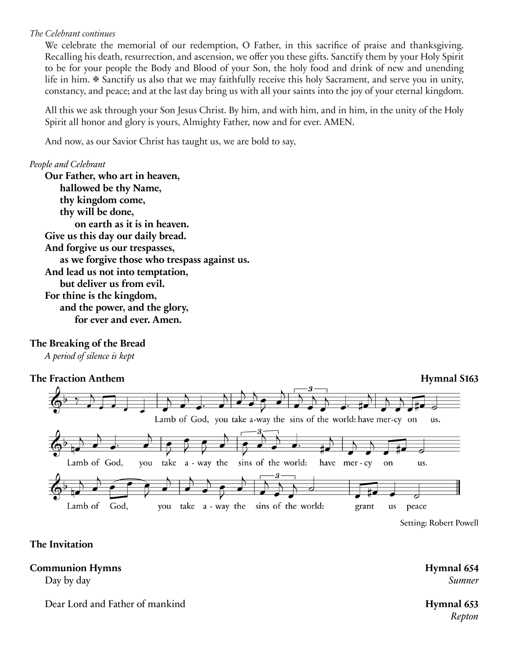#### *The Celebrant continues*

We celebrate the memorial of our redemption, O Father, in this sacrifice of praise and thanksgiving. Recalling his death, resurrection, and ascension, we offer you these gifts. Sanctify them by your Holy Spirit to be for your people the Body and Blood of your Son, the holy food and drink of new and unending life in him.  $\mathcal F$  Sanctify us also that we may faithfully receive this holy Sacrament, and serve you in unity, constancy, and peace; and at the last day bring us with all your saints into the joy of your eternal kingdom.

All this we ask through your Son Jesus Christ. By him, and with him, and in him, in the unity of the Holy Spirit all honor and glory is yours, Almighty Father, now and for ever. AMEN.

And now, as our Savior Christ has taught us, we are bold to say,

#### *People and Celebrant*

**Our Father, who art in heaven, hallowed be thy Name, thy kingdom come, thy will be done, on earth as it is in heaven. Give us this day our daily bread. And forgive us our trespasses, as we forgive those who trespass against us. And lead us not into temptation, but deliver us from evil. For thine is the kingdom, and the power, and the glory, for ever and ever. Amen.**

#### **The Breaking of the Bread**

*A period of silence is kept*



Setting: Robert Powell

#### **The Invitation**

#### **Communion Hymns Hymnal 654**

Dear Lord and Father of mankind **Hymnal 653**

Day by day *Sumner*

*Repton*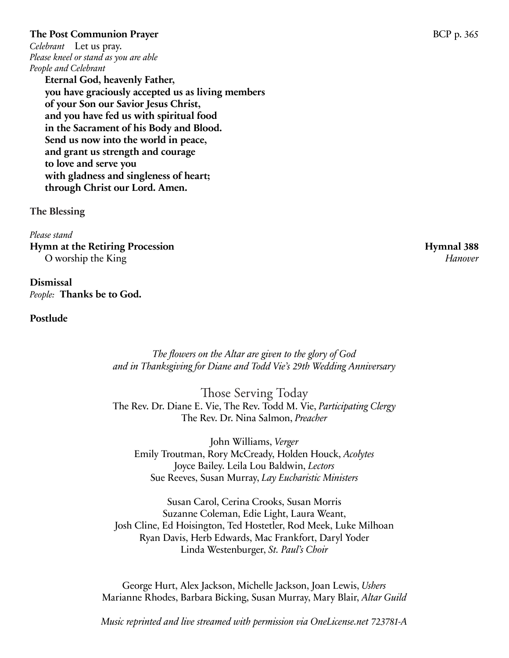#### **The Post Communion Prayer BCP** p. 365

*Celebrant* Let us pray. *Please kneel or stand as you are able People and Celebrant*

> **Eternal God, heavenly Father, you have graciously accepted us as living members of your Son our Savior Jesus Christ, and you have fed us with spiritual food in the Sacrament of his Body and Blood. Send us now into the world in peace, and grant us strength and courage to love and serve you with gladness and singleness of heart; through Christ our Lord. Amen.**

**The Blessing**

*Please stand*  Hymn at the Retiring Procession **Hymnal 388** O worship the King *Hanover*

**Dismissal** *People:* **Thanks be to God.** 

#### **Postlude**

*The flowers on the Altar are given to the glory of God and in Thanksgiving for Diane and Todd Vie's 29th Wedding Anniversary*

Those Serving Today The Rev. Dr. Diane E. Vie, The Rev. Todd M. Vie, *Participating Clergy* The Rev. Dr. Nina Salmon, *Preacher*

John Williams, *Verger* Emily Troutman, Rory McCready, Holden Houck, *Acolytes* Joyce Bailey. Leila Lou Baldwin, *Lectors* Sue Reeves, Susan Murray, *Lay Eucharistic Ministers*

Susan Carol, Cerina Crooks, Susan Morris Suzanne Coleman, Edie Light, Laura Weant, Josh Cline, Ed Hoisington, Ted Hostetler, Rod Meek, Luke Milhoan Ryan Davis, Herb Edwards, Mac Frankfort, Daryl Yoder Linda Westenburger, *St. Paul's Choir*

George Hurt, Alex Jackson, Michelle Jackson, Joan Lewis, *Ushers* Marianne Rhodes, Barbara Bicking, Susan Murray, Mary Blair, *Altar Guild*

*Music reprinted and live streamed with permission via OneLicense.net 723781-A*